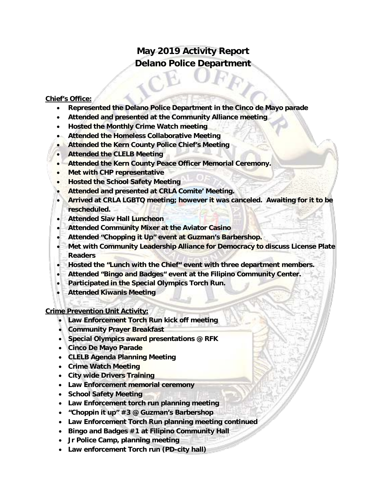# **May 2019 Activity Report Delano Police Department**

#### **Chief's Office:**

- **Represented the Delano Police Department in the Cinco de Mayo parade**
- **Attended and presented at the Community Alliance meeting**
- **Hosted the Monthly Crime Watch meeting**
- **Attended the Homeless Collaborative Meeting**
- **Attended the Kern County Police Chief's Meeting**
- **Attended the CLELB Meeting**
- **Attended the Kern County Peace Officer Memorial Ceremony.**
- **Met with CHP representative**
- **Hosted the School Safety Meeting**
- **Attended and presented at CRLA Comite' Meeting.**
- **Arrived at CRLA LGBTQ meeting; however it was canceled. Awaiting for it to be rescheduled.**
- **Attended Slav Hall Luncheon**
- **Attended Community Mixer at the Aviator Casino**
- **Attended "Chopping it Up" event at Guzman's Barbershop.**
- **Met with Community Leadership Alliance for Democracy to discuss License Plate Readers**
- **Hosted the "Lunch with the Chief" event with three department members.**
- **Attended "Bingo and Badges" event at the Filipino Community Center.**
- **Participated in the Special Olympics Torch Run.**
- **Attended Kiwanis Meeting**

**Crime Prevention Unit Activity:**

- **Law Enforcement Torch Run kick off meeting**
- **Community Prayer Breakfast**
- **Special Olympics award presentations @ RFK**
- **Cinco De Mayo Parade**
- **CLELB Agenda Planning Meeting**
- **Crime Watch Meeting**
- **City wide Drivers Training**
- **Law Enforcement memorial ceremony**
- **School Safety Meeting**
- **Law Enforcement torch run planning meeting**
- **"Choppin it up" #3 @ Guzman's Barbershop**
- **Law Enforcement Torch Run planning meeting continued**
- **Bingo and Badges #1 at Filipino Community Hall**
- **Jr Police Camp, planning meeting**
- **Law enforcement Torch run (PD-city hall)**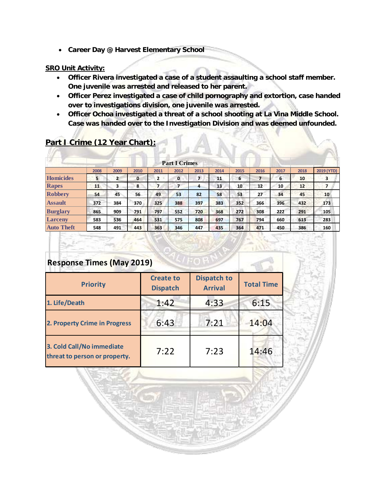• **Career Day @ Harvest Elementary School**

#### **SRO Unit Activity:**

- **Officer Rivera investigated a case of a student assaulting a school staff member. One juvenile was arrested and released to her parent.**
- **Officer Perez investigated a case of child pornography and extortion, case handed over to investigations division, one juvenile was arrested.**
- **Officer Ochoa investigated a threat of a school shooting at La Vina Middle School. Case was handed over to the Investigation Division and was deemed unfounded.**

 $AA$ 

|                   |      |              |             |                | <b>Part I Crimes</b> |                |      |      |                |      |      |                 |
|-------------------|------|--------------|-------------|----------------|----------------------|----------------|------|------|----------------|------|------|-----------------|
|                   | 2008 | 2009         | 2010        | 2011           | 2012                 | 2013           | 2014 | 2015 | 2016           | 2017 | 2018 | 2019 (YTD)      |
| Homicides         | 5    | $\mathbf{2}$ | $\mathbf 0$ | $\overline{2}$ | 0                    | $\overline{ }$ | 11   | 6    | $\overline{ }$ | 6    | 10   | з               |
| Rapes             | 11   | з            | 8           | 7              | 7                    | 4              | 13   | 10   | 12             | 10   | 12   |                 |
| <b>Robbery</b>    | 54   | 45           | 56          | 49             | 53                   | 82             | 58   | 53   | 27             | 34   | 45   | 10 <sup>1</sup> |
| <b>Assault</b>    | 372  | 384          | 370         | 325            | 388                  | 397            | 383  | 352  | 366            | 396  | 432  | 173             |
| <b>Burglary</b>   | 865  | 909          | 791         | 797            | 552                  | 720            | 368  | 272  | 308            | 222  | 291  | 105             |
| <b>Larceny</b>    | 583  | 536          | 464         | 531            | 575                  | 808            | 697  | 767  | 794            | 660  | 613  | 283             |
| <b>Auto Theft</b> | 548  | 491          | 443         | 363            | 346                  | 447            | 435  | 364  | 471            | 450  | 386  | 160             |

### **Part I Crime (12 Year Chart):**

## **Response Times (May 2019)**

| <b>Priority</b>                                            | <b>Create to</b><br><b>Dispatch</b> | <b>Dispatch to</b><br><b>Arrival</b> | <b>Total Time</b> |  |
|------------------------------------------------------------|-------------------------------------|--------------------------------------|-------------------|--|
| 1. Life/Death                                              | 1:42                                | 4:33                                 | 6:15              |  |
| 2. Property Crime in Progress                              | 6:43                                | 7:21                                 | 14:04             |  |
| 3. Cold Call/No immediate<br>threat to person or property. | 7:22                                | 7:23                                 | 14:46             |  |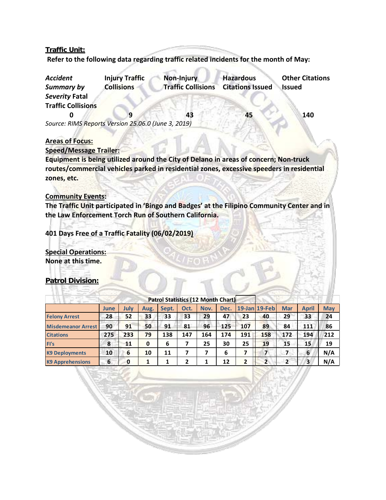#### **Traffic Unit:**

**Refer to the following data regarding traffic related incidents for the month of May:** 

| <b>Accident</b><br><b>Summary by</b>                | <b>Injury Traffic</b><br><b>Collisions</b> | Non-Injury<br><b>Traffic Collisions</b> | <b>Hazardous</b><br><b>Citations Issued</b> | <b>Other Citations</b><br>Issued |
|-----------------------------------------------------|--------------------------------------------|-----------------------------------------|---------------------------------------------|----------------------------------|
| Severity Fatal                                      |                                            |                                         |                                             |                                  |
| <b>Traffic Collisions</b>                           |                                            |                                         |                                             |                                  |
|                                                     |                                            | 43                                      | 45                                          | 140                              |
| Source: RIMS Reports Version 25.06.0 (June 3, 2019) |                                            |                                         |                                             |                                  |

#### **Areas of Focus:**

**Speed/Message Trailer:**

**Equipment is being utilized around the City of Delano in areas of concern; Non-truck routes/commercial vehicles parked in residential zones, excessive speeders in residential zones, etc.**

#### **Community Events:**

**The Traffic Unit participated in 'Bingo and Badges' at the Filipino Community Center and in the Law Enforcement Torch Run of Southern California.**

**401 Days Free of a Traffic Fatality (06/02/2019)** 

**Special Operations: None at this time.** 

#### **Patrol Division:**

|                           |      |      |          | Patrol Statistics (12 Month Chart) |      |      |      |     |                |            |              |            |
|---------------------------|------|------|----------|------------------------------------|------|------|------|-----|----------------|------------|--------------|------------|
|                           | June | July | Aug.     | Sept.                              | Oct. | Nov. | Dec. |     | 19-Jan 19-Feb  | <b>Mar</b> | <b>April</b> | <b>May</b> |
| <b>Felony Arrest</b>      | 28   | 52   | 33       | 33                                 | 33   | 29   | 47   | 23  | 40             | 29         | 33           | 24         |
| <b>Misdemeanor Arrest</b> | 90   | 91   | 50       | 91                                 | 81   | 96   | 125  | 107 | 89             | 84         | 111          | 86         |
| <b>Citations</b>          | 275  | 233  | 79       | 138                                | 147  | 164  | 174  | 191 | 158            | 172        | 194          | 212        |
| FI's                      | 8    | 11   | $\bf{0}$ | 6                                  |      | 25   | 30   | 25  | 19             | 15         | 15           | 19         |
| <b>K9 Deployments</b>     | 10   | 6    | 10       | 11                                 | 7    |      | 6    | 7   |                |            | 6            | N/A        |
| <b>K9 Apprehensions</b>   | 6    | 0    |          |                                    | 2    |      | 12   | 2   | $\overline{2}$ | 2          | 3            | N/A        |